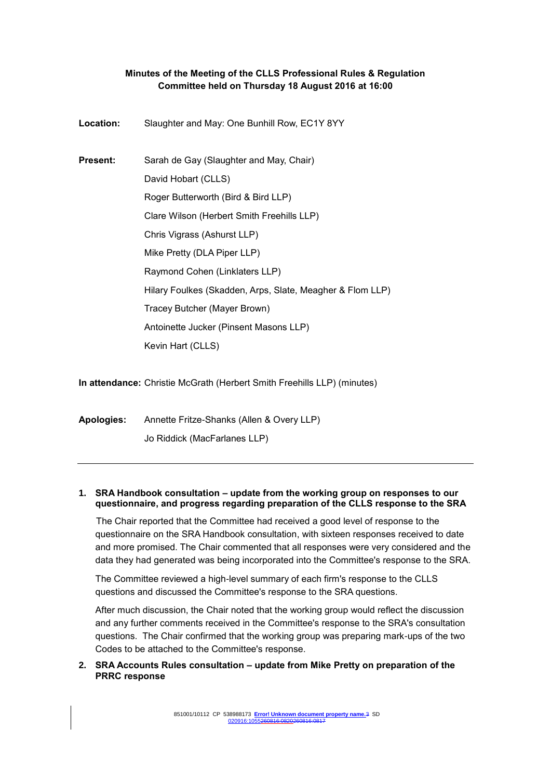# **Minutes of the Meeting of the CLLS Professional Rules & Regulation Committee held on Thursday 18 August 2016 at 16:00**

**Location:** Slaughter and May: One Bunhill Row, EC1Y 8YY **Present:** Sarah de Gay (Slaughter and May, Chair) David Hobart (CLLS) Roger Butterworth (Bird & Bird LLP) Clare Wilson (Herbert Smith Freehills LLP) Chris Vigrass (Ashurst LLP) Mike Pretty (DLA Piper LLP) Raymond Cohen (Linklaters LLP) Hilary Foulkes (Skadden, Arps, Slate, Meagher & Flom LLP) Tracey Butcher (Mayer Brown) Antoinette Jucker (Pinsent Masons LLP) Kevin Hart (CLLS)

**In attendance:** Christie McGrath (Herbert Smith Freehills LLP) (minutes)

**Apologies:** Annette Fritze-Shanks (Allen & Overy LLP) Jo Riddick (MacFarlanes LLP)

# **1. SRA Handbook consultation – update from the working group on responses to our questionnaire, and progress regarding preparation of the CLLS response to the SRA**

The Chair reported that the Committee had received a good level of response to the questionnaire on the SRA Handbook consultation, with sixteen responses received to date and more promised. The Chair commented that all responses were very considered and the data they had generated was being incorporated into the Committee's response to the SRA.

The Committee reviewed a high-level summary of each firm's response to the CLLS questions and discussed the Committee's response to the SRA questions.

After much discussion, the Chair noted that the working group would reflect the discussion and any further comments received in the Committee's response to the SRA's consultation questions. The Chair confirmed that the working group was preparing mark-ups of the two Codes to be attached to the Committee's response.

# **2. SRA Accounts Rules consultation – update from Mike Pretty on preparation of the PRRC response**